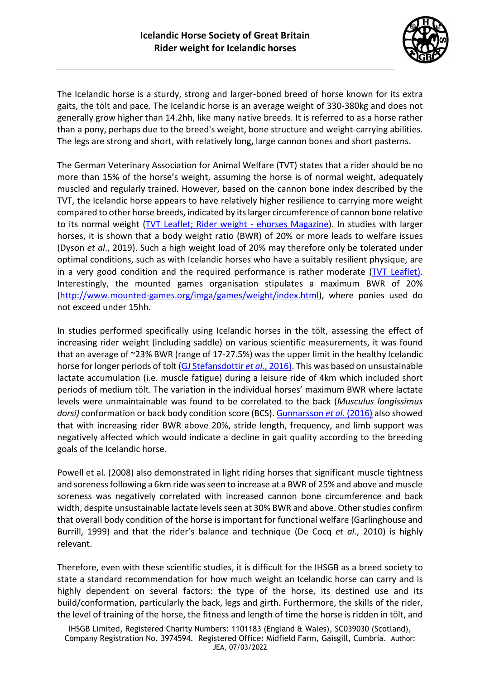

The Icelandic horse is a sturdy, strong and larger-boned breed of horse known for its extra gaits, the tölt and pace. The Icelandic horse is an average weight of 330-380kg and does not generally grow higher than 14.2hh, like many native breeds. It is referred to as a horse rather than a pony, perhaps due to the breed's weight, bone structure and weight-carrying abilities. The legs are strong and short, with relatively long, large cannon bones and short pasterns.

The German Veterinary Association for Animal Welfare (TVT) states that a rider should be no more than 15% of the horse's weight, assuming the horse is of normal weight, adequately muscled and regularly trained. However, based on the cannon bone index described by the TVT, the Icelandic horse appears to have relatively higher resilience to carrying more weight compared to other horse breeds, indicated by itslarger circumference of cannon bone relative to its normal weight [\(TVT Leaflet;](https://www.tierschutz-tvt.de/alle-merkblaetter-und-stellungnahmen/#c282) Rider weight - [ehorses Magazine\)](https://www.ehorses.com/magazine/rider-weight/). In studies with larger horses, it is shown that a body weight ratio (BWR) of 20% or more leads to welfare issues (Dyson *et al*., 2019). Such a high weight load of 20% may therefore only be tolerated under optimal conditions, such as with Icelandic horses who have a suitably resilient physique, are in a very good condition and the required performance is rather moderate [\(TVT Leaflet\)](https://www.tierschutz-tvt.de/alle-merkblaetter-und-stellungnahmen/#c282). Interestingly, the mounted games organisation stipulates a maximum BWR of 20% [\(http://www.mounted-games.org/imga/games/weight/index.html\)](http://www.mounted-games.org/imga/games/weight/index.html), where ponies used do not exceed under 15hh.

In studies performed specifically using Icelandic horses in the tölt, assessing the effect of increasing rider weight (including saddle) on various scientific measurements, it was found that an average of ~23% BWR (range of 17-27.5%) was the upper limit in the healthy Icelandic horse for longer periods of tolt [\(GJ Stefansdottir](https://www.horsesoficeland.is/files/effect_of_rider_weight_and_additional_weight_in_icelandic_horses_in_tolt_part_i_physiological_responses.pdf) *et al.*, 2016). This was based on unsustainable lactate accumulation (i.e. muscle fatigue) during a leisure ride of 4km which included short periods of medium tölt. The variation in the individual horses' maximum BWR where lactate levels were unmaintainable was found to be correlated to the back (*Musculus longissimus dorsi)* conformation or back body condition score (BCS). [Gunnarsson](https://www.horsesoficeland.is/files/effect_of_rider_weight_and_additional_weight_in_icelandic_horses_in_tolt_part_ii_stride_parameters_responses.pdf) *et al.* (2016) also showed that with increasing rider BWR above 20%, stride length, frequency, and limb support was negatively affected which would indicate a decline in gait quality according to the breeding goals of the Icelandic horse.

Powell et al. (2008) also demonstrated in light riding horses that significant muscle tightness and soreness following a 6km ride was seen to increase at a BWR of 25% and above and muscle soreness was negatively correlated with increased cannon bone circumference and back width, despite unsustainable lactate levels seen at 30% BWR and above. Other studies confirm that overall body condition of the horse is important for functional welfare (Garlinghouse and Burrill, 1999) and that the rider's balance and technique (De Cocq *et al*., 2010) is highly relevant.

Therefore, even with these scientific studies, it is difficult for the IHSGB as a breed society to state a standard recommendation for how much weight an Icelandic horse can carry and is highly dependent on several factors: the type of the horse, its destined use and its build/conformation, particularly the back, legs and girth. Furthermore, the skills of the rider, the level of training of the horse, the fitness and length of time the horse is ridden in tölt, and

IHSGB Limited, Registered Charity Numbers: 1101183 (England & Wales), SC039030 (Scotland), Company Registration No. 3974594. Registered Office: Midfield Farm, Gaisgill, Cumbria. Author: JEA, 07/03/2022